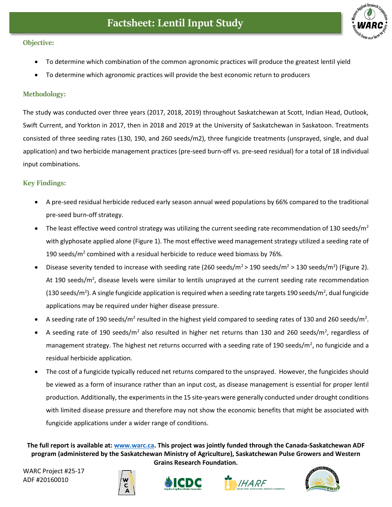

## **Objective:**

- To determine which combination of the common agronomic practices will produce the greatest lentil yield
- To determine which agronomic practices will provide the best economic return to producers

## **Methodology:**

The study was conducted over three years (2017, 2018, 2019) throughout Saskatchewan at Scott, Indian Head, Outlook, Swift Current, and Yorkton in 2017, then in 2018 and 2019 at the University of Saskatchewan in Saskatoon. Treatments consisted of three seeding rates (130, 190, and 260 seeds/m2), three fungicide treatments (unsprayed, single, and dual application) and two herbicide management practices (pre-seed burn-off vs. pre-seed residual) for a total of 18 individual input combinations.

## **Key Findings:**

- A pre-seed residual herbicide reduced early season annual weed populations by 66% compared to the traditional pre-seed burn-off strategy.
- The least effective weed control strategy was utilizing the current seeding rate recommendation of 130 seeds/m<sup>2</sup> with glyphosate applied alone (Figure 1). The most effective weed management strategy utilized a seeding rate of 190 seeds/ $m^2$  combined with a residual herbicide to reduce weed biomass by 76%.
- Disease severity tended to increase with seeding rate (260 seeds/m<sup>2</sup> > 190 seeds/m<sup>2</sup> > 130 seeds/m<sup>2</sup>) (Figure 2). At 190 seeds/m<sup>2</sup>, disease levels were similar to lentils unsprayed at the current seeding rate recommendation (130 seeds/m<sup>2</sup>). A single fungicide application is required when a seeding rate targets 190 seeds/m<sup>2</sup>, dual fungicide applications may be required under higher disease pressure.
- A seeding rate of 190 seeds/m<sup>2</sup> resulted in the highest yield compared to seeding rates of 130 and 260 seeds/m<sup>2</sup>.
- A seeding rate of 190 seeds/m<sup>2</sup> also resulted in higher net returns than 130 and 260 seeds/m<sup>2</sup>, regardless of management strategy. The highest net returns occurred with a seeding rate of 190 seeds/m<sup>2</sup>, no fungicide and a residual herbicide application.
- The cost of a fungicide typically reduced net returns compared to the unsprayed. However, the fungicides should be viewed as a form of insurance rather than an input cost, as disease management is essential for proper lentil production. Additionally, the experiments in the 15 site-years were generally conducted under drought conditions with limited disease pressure and therefore may not show the economic benefits that might be associated with fungicide applications under a wider range of conditions.

**The full report is available at: [www.warc.ca.](http://www.warc.ca/) This project was jointly funded through the Canada-Saskatchewan ADF program (administered by the Saskatchewan Ministry of Agriculture), Saskatchewan Pulse Growers and Western Grains Research Foundation.**